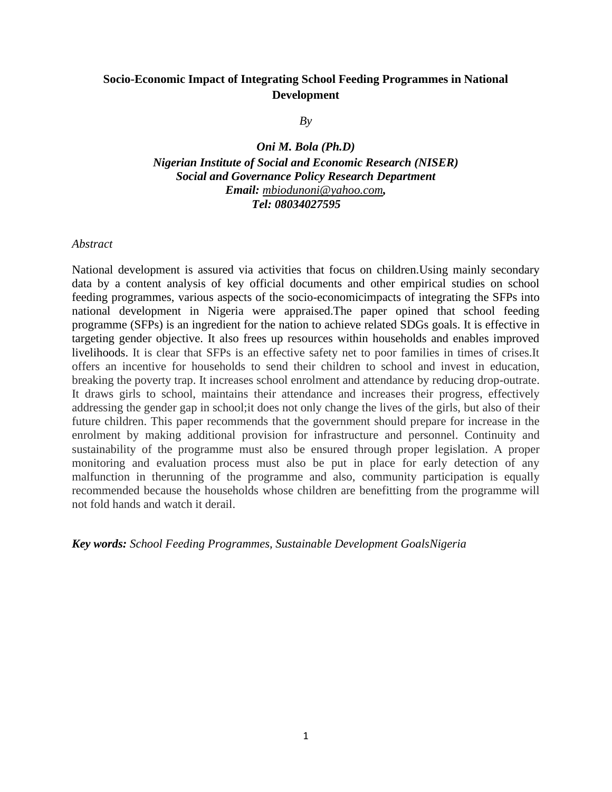# **Socio-Economic Impact of Integrating School Feeding Programmes in National Development**

*By*

*Oni M. Bola (Ph.D) Nigerian Institute of Social and Economic Research (NISER) Social and Governance Policy Research Department Email: [mbiodunoni@yahoo.com](mailto:mbiodunoni@yahoo.com), Tel: 08034027595*

*Abstract*

National development is assured via activities that focus on children.Using mainly secondary data by a content analysis of key official documents and other empirical studies on school feeding programmes, various aspects of the socio-economicimpacts of integrating the SFPs into national development in Nigeria were appraised.The paper opined that school feeding programme (SFPs) is an ingredient for the nation to achieve related SDGs goals. It is effective in targeting gender objective. It also frees up resources within households and enables improved livelihoods. It is clear that SFPs is an effective safety net to poor families in times of crises.It offers an incentive for households to send their children to school and invest in education, breaking the poverty trap. It increases school enrolment and attendance by reducing drop-outrate. It draws girls to school, maintains their attendance and increases their progress, effectively addressing the gender gap in school;it does not only change the lives of the girls, but also of their future children. This paper recommends that the government should prepare for increase in the enrolment by making additional provision for infrastructure and personnel. Continuity and sustainability of the programme must also be ensured through proper legislation. A proper monitoring and evaluation process must also be put in place for early detection of any malfunction in therunning of the programme and also, community participation is equally recommended because the households whose children are benefitting from the programme will not fold hands and watch it derail.

*Key words: School Feeding Programmes, Sustainable Development GoalsNigeria*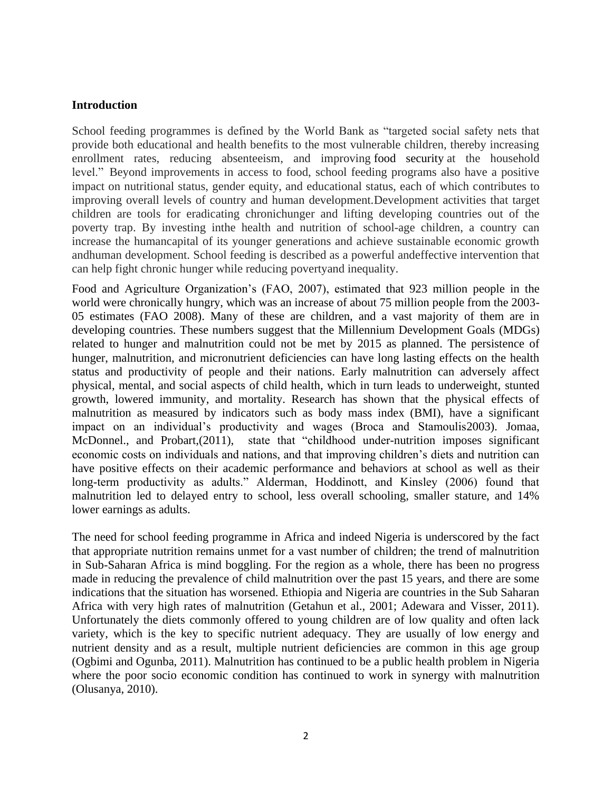### **Introduction**

School feeding programmes is defined by the World Bank as "targeted social safety nets that provide both educational and health benefits to the most vulnerable children, thereby increasing enrollment rates, reducing absenteeism, and improving [food security](https://en.wikipedia.org/wiki/Food_security) at the household level." Beyond improvements in access to food, school feeding programs also have a positive impact on nutritional status, gender equity, and educational status, each of which contributes to improving overall levels of country and human development.Development activities that target children are tools for eradicating chronichunger and lifting developing countries out of the poverty trap. By investing inthe health and nutrition of school-age children, a country can increase the humancapital of its younger generations and achieve sustainable economic growth andhuman development. School feeding is described as a powerful andeffective intervention that can help fight chronic hunger while reducing povertyand inequality.

Food and Agriculture Organization's (FAO, 2007), estimated that 923 million people in the world were chronically hungry, which was an increase of about 75 million people from the 2003- 05 estimates (FAO 2008). Many of these are children, and a vast majority of them are in developing countries. These numbers suggest that the Millennium Development Goals (MDGs) related to hunger and malnutrition could not be met by 2015 as planned. The persistence of hunger, malnutrition, and micronutrient deficiencies can have long lasting effects on the health status and productivity of people and their nations. Early malnutrition can adversely affect physical, mental, and social aspects of child health, which in turn leads to underweight, stunted growth, lowered immunity, and mortality. Research has shown that the physical effects of malnutrition as measured by indicators such as body mass index (BMI), have a significant impact on an individual's productivity and wages (Broca and Stamoulis2003). Jomaa, McDonnel., and Probart, (2011), state that "childhood under-nutrition imposes significant economic costs on individuals and nations, and that improving children's diets and nutrition can have positive effects on their academic performance and behaviors at school as well as their long-term productivity as adults." Alderman, Hoddinott, and Kinsley (2006) found that malnutrition led to delayed entry to school, less overall schooling, smaller stature, and 14% lower earnings as adults.

The need for school feeding programme in Africa and indeed Nigeria is underscored by the fact that appropriate nutrition remains unmet for a vast number of children; the trend of malnutrition in Sub-Saharan Africa is mind boggling. For the region as a whole, there has been no progress made in reducing the prevalence of child malnutrition over the past 15 years, and there are some indications that the situation has worsened. Ethiopia and Nigeria are countries in the Sub Saharan Africa with very high rates of malnutrition (Getahun et al., 2001; Adewara and Visser, 2011). Unfortunately the diets commonly offered to young children are of low quality and often lack variety, which is the key to specific nutrient adequacy. They are usually of low energy and nutrient density and as a result, multiple nutrient deficiencies are common in this age group (Ogbimi and Ogunba, 2011). Malnutrition has continued to be a public health problem in Nigeria where the poor socio economic condition has continued to work in synergy with malnutrition (Olusanya, 2010).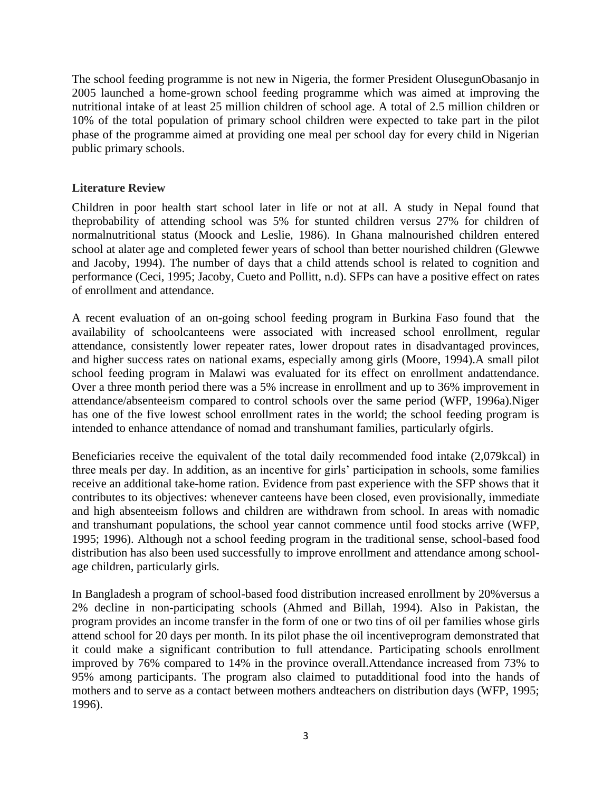The school feeding programme is not new in Nigeria, the former President OlusegunObasanjo in 2005 launched a home-grown school feeding programme which was aimed at improving the nutritional intake of at least 25 million children of school age. A total of 2.5 million children or 10% of the total population of primary school children were expected to take part in the pilot phase of the programme aimed at providing one meal per school day for every child in Nigerian public primary schools.

## **Literature Review**

Children in poor health start school later in life or not at all. A study in Nepal found that theprobability of attending school was 5% for stunted children versus 27% for children of normalnutritional status (Moock and Leslie, 1986). In Ghana malnourished children entered school at alater age and completed fewer years of school than better nourished children (Glewwe and Jacoby, 1994). The number of days that a child attends school is related to cognition and performance (Ceci, 1995; Jacoby, Cueto and Pollitt, n.d). SFPs can have a positive effect on rates of enrollment and attendance.

A recent evaluation of an on-going school feeding program in Burkina Faso found that the availability of schoolcanteens were associated with increased school enrollment, regular attendance, consistently lower repeater rates, lower dropout rates in disadvantaged provinces, and higher success rates on national exams, especially among girls (Moore, 1994).A small pilot school feeding program in Malawi was evaluated for its effect on enrollment andattendance. Over a three month period there was a 5% increase in enrollment and up to 36% improvement in attendance/absenteeism compared to control schools over the same period (WFP, 1996a).Niger has one of the five lowest school enrollment rates in the world; the school feeding program is intended to enhance attendance of nomad and transhumant families, particularly ofgirls.

Beneficiaries receive the equivalent of the total daily recommended food intake (2,079kcal) in three meals per day. In addition, as an incentive for girls' participation in schools, some families receive an additional take-home ration. Evidence from past experience with the SFP shows that it contributes to its objectives: whenever canteens have been closed, even provisionally, immediate and high absenteeism follows and children are withdrawn from school. In areas with nomadic and transhumant populations, the school year cannot commence until food stocks arrive (WFP, 1995; 1996). Although not a school feeding program in the traditional sense, school-based food distribution has also been used successfully to improve enrollment and attendance among schoolage children, particularly girls.

In Bangladesh a program of school-based food distribution increased enrollment by 20%versus a 2% decline in non-participating schools (Ahmed and Billah, 1994). Also in Pakistan, the program provides an income transfer in the form of one or two tins of oil per families whose girls attend school for 20 days per month. In its pilot phase the oil incentiveprogram demonstrated that it could make a significant contribution to full attendance. Participating schools enrollment improved by 76% compared to 14% in the province overall.Attendance increased from 73% to 95% among participants. The program also claimed to putadditional food into the hands of mothers and to serve as a contact between mothers andteachers on distribution days (WFP, 1995; 1996).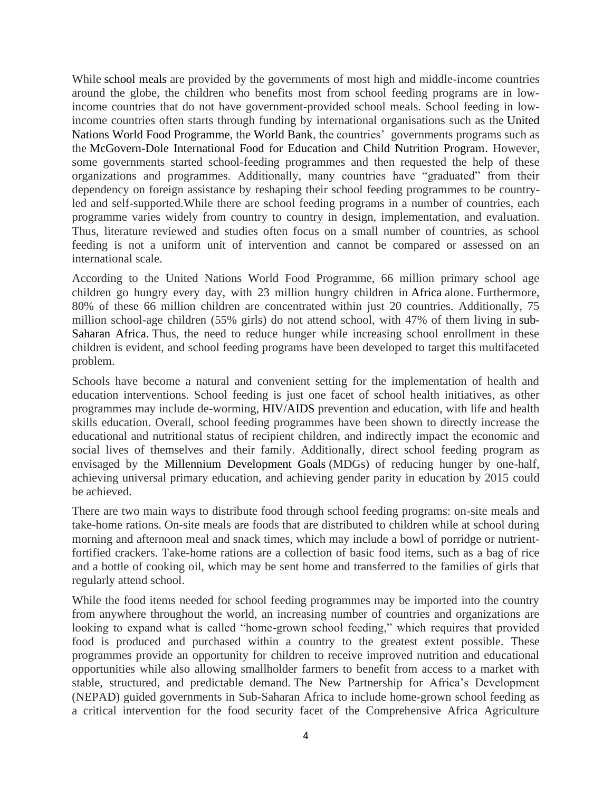While [school meals](https://en.wikipedia.org/wiki/School_meals) are provided by the governments of most high and middle-income countries around the globe, the children who benefits most from school feeding programs are in lowincome countries that do not have government-provided school meals. School feeding in lowincome countries often starts through funding by international organisations such as the [United](https://en.wikipedia.org/wiki/United_Nations_World_Food_Programme)  [Nations World Food Programme,](https://en.wikipedia.org/wiki/United_Nations_World_Food_Programme) the [World Bank,](https://en.wikipedia.org/wiki/World_Bank) the countries' governments programs such as the [McGovern-Dole International Food for Education and Child Nutrition Program.](https://en.wikipedia.org/wiki/McGovern-Dole_International_Food_for_Education_and_Child_Nutrition_Program) However, some governments started school-feeding programmes and then requested the help of these organizations and programmes. Additionally, many countries have "graduated" from their dependency on foreign assistance by reshaping their school feeding programmes to be countryled and self-supported.While there are school feeding programs in a number of countries, each programme varies widely from country to country in design, implementation, and evaluation. Thus, literature reviewed and studies often focus on a small number of countries, as school feeding is not a uniform unit of intervention and cannot be compared or assessed on an international scale.

According to the United Nations World Food Programme, 66 million primary school age children go hungry every day, with 23 million hungry children in [Africa](https://en.wikipedia.org/wiki/Africa) alone. Furthermore, 80% of these 66 million children are concentrated within just 20 countries. Additionally, 75 million school-age children (55% girls) do not attend school, with 47% of them living in [sub-](https://en.wikipedia.org/wiki/Sub-Saharan_Africa)[Saharan Africa.](https://en.wikipedia.org/wiki/Sub-Saharan_Africa) Thus, the need to reduce hunger while increasing school enrollment in these children is evident, and school feeding programs have been developed to target this multifaceted problem.

Schools have become a natural and convenient setting for the implementation of health and education interventions. School feeding is just one facet of school health initiatives, as other programmes may include de-worming, [HIV/AIDS](https://en.wikipedia.org/wiki/HIV/AIDS) prevention and education, with life and health skills education. Overall, school feeding programmes have been shown to directly increase the educational and nutritional status of recipient children, and indirectly impact the economic and social lives of themselves and their family. Additionally, direct school feeding program as envisaged by the [Millennium Development Goals](https://en.wikipedia.org/wiki/Millennium_Development_Goals) (MDGs) of reducing hunger by one-half, achieving universal primary education, and achieving gender parity in education by 2015 could be achieved.

There are two main ways to distribute food through school feeding programs: on-site meals and take-home rations. On-site meals are foods that are distributed to children while at school during morning and afternoon meal and snack times, which may include a bowl of porridge or nutrientfortified crackers. Take-home rations are a collection of basic food items, such as a bag of rice and a bottle of cooking oil, which may be sent home and transferred to the families of girls that regularly attend school.

While the food items needed for school feeding programmes may be imported into the country from anywhere throughout the world, an increasing number of countries and organizations are looking to expand what is called "home-grown school feeding," which requires that provided food is produced and purchased within a country to the greatest extent possible. These programmes provide an opportunity for children to receive improved nutrition and educational opportunities while also allowing smallholder farmers to benefit from access to a market with stable, structured, and predictable demand. The New Partnership for Africa's Development (NEPAD) guided governments in Sub-Saharan Africa to include home-grown school feeding as a critical intervention for the food security facet of the Comprehensive Africa Agriculture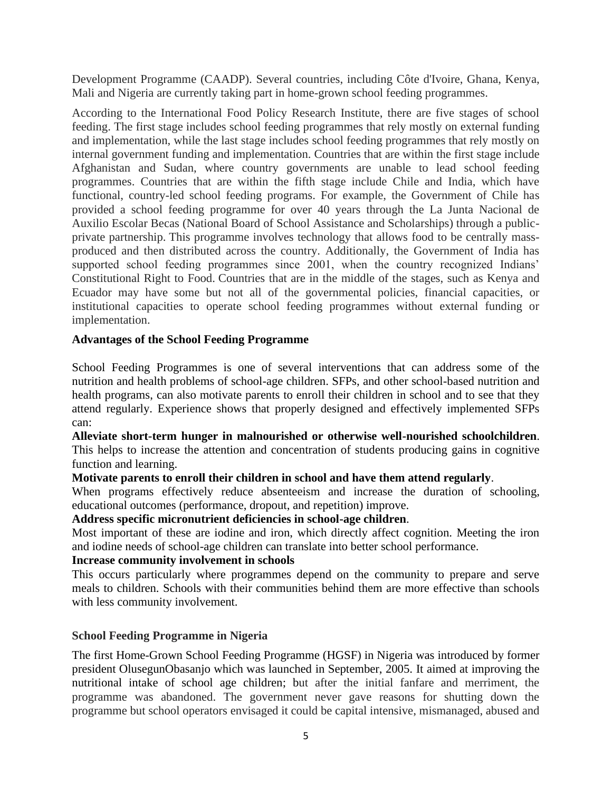Development Programme (CAADP). Several countries, including Côte d'Ivoire, Ghana, Kenya, Mali and Nigeria are currently taking part in home-grown school feeding programmes.

According to the International Food Policy Research Institute, there are five stages of school feeding. The first stage includes school feeding programmes that rely mostly on external funding and implementation, while the last stage includes school feeding programmes that rely mostly on internal government funding and implementation. Countries that are within the first stage include Afghanistan and Sudan, where country governments are unable to lead school feeding programmes. Countries that are within the fifth stage include Chile and India, which have functional, country-led school feeding programs. For example, the Government of Chile has provided a school feeding programme for over 40 years through the La Junta Nacional de Auxilio Escolar Becas (National Board of School Assistance and Scholarships) through a publicprivate partnership. This programme involves technology that allows food to be centrally massproduced and then distributed across the country. Additionally, the Government of India has supported school feeding programmes since 2001, when the country recognized Indians' Constitutional Right to Food. Countries that are in the middle of the stages, such as Kenya and Ecuador may have some but not all of the governmental policies, financial capacities, or institutional capacities to operate school feeding programmes without external funding or implementation.

## **Advantages of the School Feeding Programme**

School Feeding Programmes is one of several interventions that can address some of the nutrition and health problems of school-age children. SFPs, and other school-based nutrition and health programs, can also motivate parents to enroll their children in school and to see that they attend regularly. Experience shows that properly designed and effectively implemented SFPs can:

**Alleviate short-term hunger in malnourished or otherwise well-nourished schoolchildren**. This helps to increase the attention and concentration of students producing gains in cognitive function and learning.

# **Motivate parents to enroll their children in school and have them attend regularly**.

When programs effectively reduce absenteeism and increase the duration of schooling, educational outcomes (performance, dropout, and repetition) improve.

## **Address specific micronutrient deficiencies in school-age children**.

Most important of these are iodine and iron, which directly affect cognition. Meeting the iron and iodine needs of school-age children can translate into better school performance.

## **Increase community involvement in schools**

This occurs particularly where programmes depend on the community to prepare and serve meals to children. Schools with their communities behind them are more effective than schools with less community involvement.

### **School Feeding Programme in Nigeria**

The first Home-Grown School Feeding Programme (HGSF) in Nigeria was introduced by former president OlusegunObasanjo which was launched in September, 2005. It aimed at improving the nutritional intake of school age children; but after the initial fanfare and merriment, the programme was abandoned. The government never gave reasons for shutting down the programme but school operators envisaged it could be capital intensive, mismanaged, abused and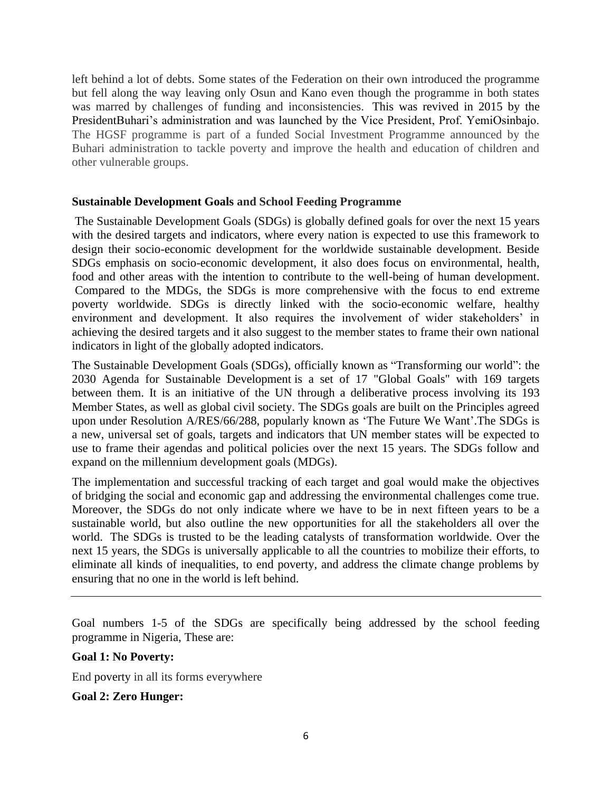left behind a lot of debts. Some states of the Federation on their own introduced the programme but fell along the way leaving only Osun and Kano even though the programme in both states was marred by challenges of funding and inconsistencies. This was revived in 2015 by the PresidentBuhari's administration and was launched by the Vice President, Prof. YemiOsinbajo. The HGSF programme is part of a funded Social Investment Programme announced by the Buhari administration to tackle poverty and improve the health and education of children and other vulnerable groups.

### **Sustainable Development Goals and School Feeding Programme**

The Sustainable Development Goals (SDGs) is globally defined goals for over the next 15 years with the desired targets and indicators, where every nation is expected to use this framework to design their socio-economic development for the worldwide sustainable development. Beside SDGs emphasis on socio-economic development, it also does focus on environmental, health, food and other areas with the intention to contribute to the well-being of human development. Compared to the MDGs, the SDGs is more comprehensive with the focus to end extreme poverty worldwide. SDGs is directly linked with the socio-economic welfare, healthy environment and development. It also requires the involvement of wider stakeholders' in achieving the desired targets and it also suggest to the member states to frame their own national indicators in light of the globally adopted indicators.

The Sustainable Development Goals (SDGs), officially known as "Transforming our world": the 2030 Agenda for Sustainable Development is a set of 17 "Global Goals" with 169 targets between them. It is an initiative of the UN through a deliberative process involving its 193 Member States, as well as global civil society. The SDGs goals are built on the Principles agreed upon under Resolution A/RES/66/288, popularly known as 'The Future We Want'.The SDGs is a new, universal set of goals, targets and indicators that UN member states will be expected to use to frame their agendas and political policies over the next 15 years. The SDGs follow and expand on the [millennium development goals](https://www.theguardian.com/global-development/millennium-development-goals) (MDGs).

The implementation and successful tracking of each target and goal would make the objectives of bridging the social and economic gap and addressing the environmental challenges come true. Moreover, the SDGs do not only indicate where we have to be in next fifteen years to be a sustainable world, but also outline the new opportunities for all the stakeholders all over the world. The SDGs is trusted to be the leading catalysts of transformation worldwide. Over the next 15 years, the SDGs is universally applicable to all the countries to mobilize their efforts, to eliminate all kinds of inequalities, to end poverty, and address the climate change problems by ensuring that no one in the world is left behind.

Goal numbers 1-5 of the SDGs are specifically being addressed by the school feeding programme in Nigeria, These are:

### **Goal 1: No Poverty:**

End [poverty](https://en.wikipedia.org/wiki/Poverty) in all its forms everywhere

### **Goal 2: Zero Hunger:**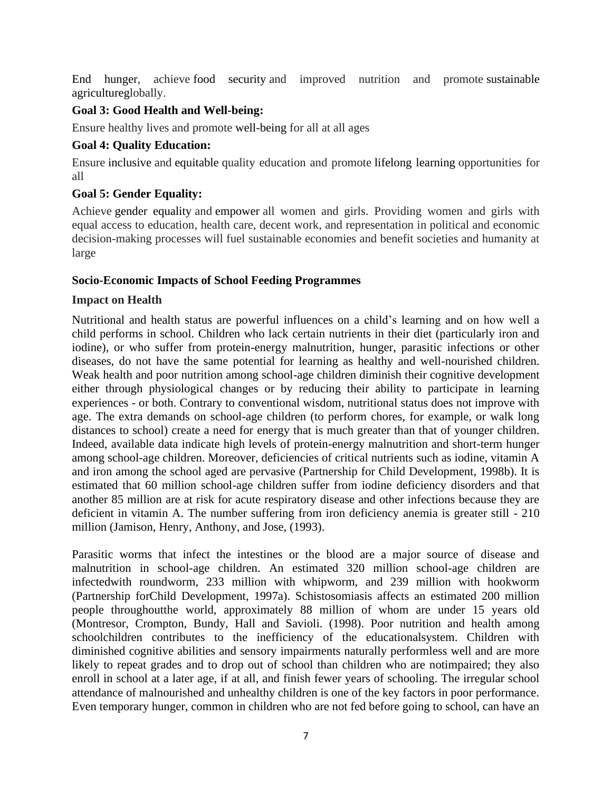[End hunger,](https://en.wikipedia.org/wiki/Hunger#Global_initiatives_to_end_hunger) achieve [food security](https://en.wikipedia.org/wiki/Food_security) and improved nutrition and promote [sustainable](https://en.wikipedia.org/wiki/Sustainable_agriculture)  [agricultureg](https://en.wikipedia.org/wiki/Sustainable_agriculture)lobally.

## **Goal 3: Good Health and Well-being:**

Ensure healthy lives and promote [well-being](https://en.wikipedia.org/wiki/Well-being) for all at all ages

## **Goal 4: Quality Education:**

Ensure [inclusive](https://en.wikipedia.org/wiki/Inclusion_(education)) and [equitable](https://en.wikipedia.org/wiki/Educational_equity) quality education and promote [lifelong learning](https://en.wikipedia.org/wiki/Lifelong_learning) opportunities for all

## **Goal 5: Gender Equality:**

Achieve [gender equality](https://en.wikipedia.org/wiki/Gender_equality) and [empower](https://en.wikipedia.org/wiki/Empowerment) all women and girls. Providing women and girls with equal access to education, health care, decent work, and representation in political and economic decision-making processes will fuel sustainable economies and benefit societies and humanity at large

## **Socio-Economic Impacts of School Feeding Programmes**

## **Impact on Health**

Nutritional and health status are powerful influences on a child's learning and on how well a child performs in school. Children who lack certain nutrients in their diet (particularly iron and iodine), or who suffer from protein-energy malnutrition, hunger, parasitic infections or other diseases, do not have the same potential for learning as healthy and well-nourished children. Weak health and poor nutrition among school-age children diminish their cognitive development either through physiological changes or by reducing their ability to participate in learning experiences - or both. Contrary to conventional wisdom, nutritional status does not improve with age. The extra demands on school-age children (to perform chores, for example, or walk long distances to school) create a need for energy that is much greater than that of younger children. Indeed, available data indicate high levels of protein-energy malnutrition and short-term hunger among school-age children. Moreover, deficiencies of critical nutrients such as iodine, vitamin A and iron among the school aged are pervasive (Partnership for Child Development, 1998b). It is estimated that 60 million school-age children suffer from iodine deficiency disorders and that another 85 million are at risk for acute respiratory disease and other infections because they are deficient in vitamin A. The number suffering from iron deficiency anemia is greater still - 210 million (Jamison, Henry, Anthony, and Jose, (1993).

Parasitic worms that infect the intestines or the blood are a major source of disease and malnutrition in school-age children. An estimated 320 million school-age children are infectedwith roundworm, 233 million with whipworm, and 239 million with hookworm (Partnership forChild Development, 1997a). Schistosomiasis affects an estimated 200 million people throughoutthe world, approximately 88 million of whom are under 15 years old (Montresor, Crompton, Bundy, Hall and Savioli. (1998). Poor nutrition and health among schoolchildren contributes to the inefficiency of the educationalsystem. Children with diminished cognitive abilities and sensory impairments naturally performless well and are more likely to repeat grades and to drop out of school than children who are notimpaired; they also enroll in school at a later age, if at all, and finish fewer years of schooling. The irregular school attendance of malnourished and unhealthy children is one of the key factors in poor performance. Even temporary hunger, common in children who are not fed before going to school, can have an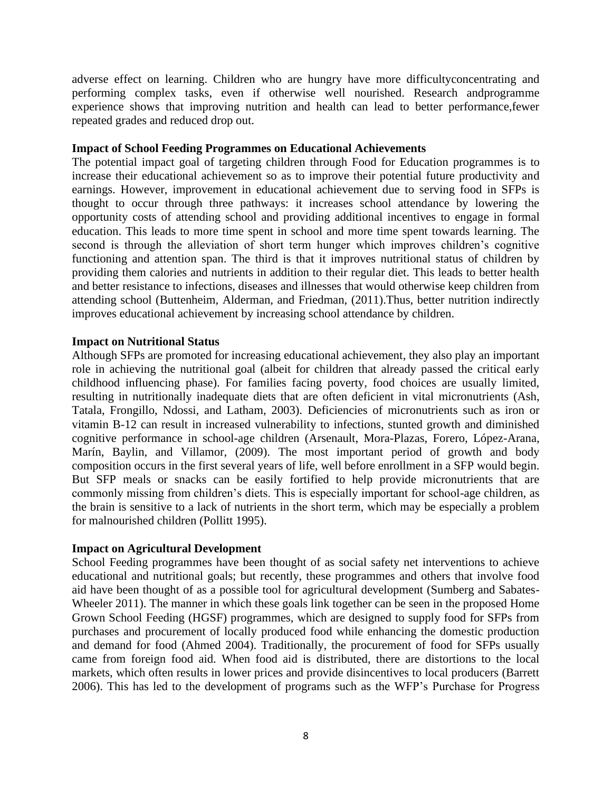adverse effect on learning. Children who are hungry have more difficultyconcentrating and performing complex tasks, even if otherwise well nourished. Research andprogramme experience shows that improving nutrition and health can lead to better performance,fewer repeated grades and reduced drop out.

#### **Impact of School Feeding Programmes on Educational Achievements**

The potential impact goal of targeting children through Food for Education programmes is to increase their educational achievement so as to improve their potential future productivity and earnings. However, improvement in educational achievement due to serving food in SFPs is thought to occur through three pathways: it increases school attendance by lowering the opportunity costs of attending school and providing additional incentives to engage in formal education. This leads to more time spent in school and more time spent towards learning. The second is through the alleviation of short term hunger which improves children's cognitive functioning and attention span. The third is that it improves nutritional status of children by providing them calories and nutrients in addition to their regular diet. This leads to better health and better resistance to infections, diseases and illnesses that would otherwise keep children from attending school (Buttenheim, Alderman, and Friedman, (2011).Thus, better nutrition indirectly improves educational achievement by increasing school attendance by children.

#### **Impact on Nutritional Status**

Although SFPs are promoted for increasing educational achievement, they also play an important role in achieving the nutritional goal (albeit for children that already passed the critical early childhood influencing phase). For families facing poverty, food choices are usually limited, resulting in nutritionally inadequate diets that are often deficient in vital micronutrients (Ash, Tatala, Frongillo, Ndossi, and Latham, 2003). Deficiencies of micronutrients such as iron or vitamin B-12 can result in increased vulnerability to infections, stunted growth and diminished cognitive performance in school-age children (Arsenault, Mora-Plazas, Forero, López-Arana, Marín, Baylin, and Villamor, (2009). The most important period of growth and body composition occurs in the first several years of life, well before enrollment in a SFP would begin. But SFP meals or snacks can be easily fortified to help provide micronutrients that are commonly missing from children's diets. This is especially important for school-age children, as the brain is sensitive to a lack of nutrients in the short term, which may be especially a problem for malnourished children (Pollitt 1995).

### **Impact on Agricultural Development**

School Feeding programmes have been thought of as social safety net interventions to achieve educational and nutritional goals; but recently, these programmes and others that involve food aid have been thought of as a possible tool for agricultural development (Sumberg and Sabates-Wheeler 2011). The manner in which these goals link together can be seen in the proposed Home Grown School Feeding (HGSF) programmes, which are designed to supply food for SFPs from purchases and procurement of locally produced food while enhancing the domestic production and demand for food (Ahmed 2004). Traditionally, the procurement of food for SFPs usually came from foreign food aid. When food aid is distributed, there are distortions to the local markets, which often results in lower prices and provide disincentives to local producers (Barrett 2006). This has led to the development of programs such as the WFP's Purchase for Progress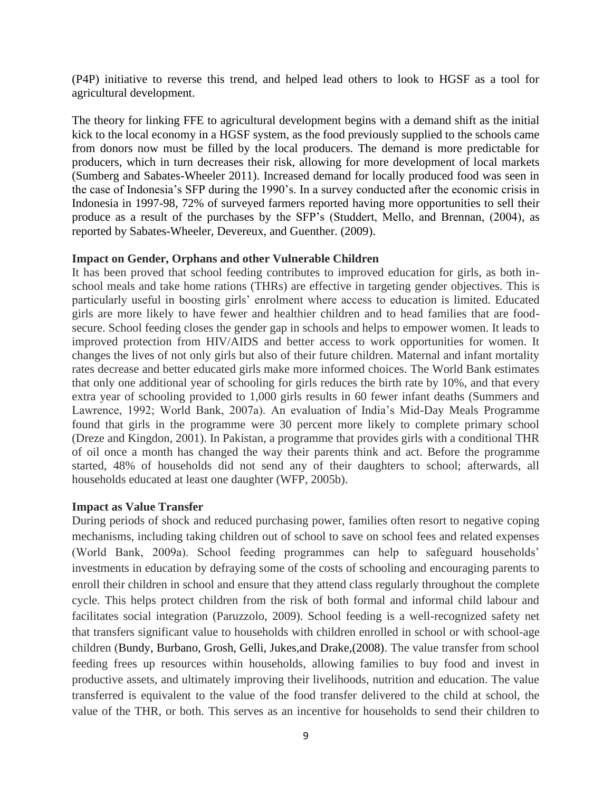(P4P) initiative to reverse this trend, and helped lead others to look to HGSF as a tool for agricultural development.

The theory for linking FFE to agricultural development begins with a demand shift as the initial kick to the local economy in a HGSF system, as the food previously supplied to the schools came from donors now must be filled by the local producers. The demand is more predictable for producers, which in turn decreases their risk, allowing for more development of local markets (Sumberg and Sabates-Wheeler 2011). Increased demand for locally produced food was seen in the case of Indonesia's SFP during the 1990's. In a survey conducted after the economic crisis in Indonesia in 1997-98, 72% of surveyed farmers reported having more opportunities to sell their produce as a result of the purchases by the SFP's (Studdert, Mello, and Brennan, (2004), as reported by Sabates-Wheeler, Devereux, and Guenther. (2009).

#### **Impact on Gender, Orphans and other Vulnerable Children**

It has been proved that school feeding contributes to improved education for girls, as both inschool meals and take home rations (THRs) are effective in targeting gender objectives. This is particularly useful in boosting girls' enrolment where access to education is limited. Educated girls are more likely to have fewer and healthier children and to head families that are foodsecure. School feeding closes the gender gap in schools and helps to empower women. It leads to improved protection from HIV/AIDS and better access to work opportunities for women. It changes the lives of not only girls but also of their future children. Maternal and infant mortality rates decrease and better educated girls make more informed choices. The World Bank estimates that only one additional year of schooling for girls reduces the birth rate by 10%, and that every extra year of schooling provided to 1,000 girls results in 60 fewer infant deaths (Summers and Lawrence, 1992; World Bank, 2007a). An evaluation of India's Mid-Day Meals Programme found that girls in the programme were 30 percent more likely to complete primary school (Dreze and Kingdon, 2001). In Pakistan, a programme that provides girls with a conditional THR of oil once a month has changed the way their parents think and act. Before the programme started, 48% of households did not send any of their daughters to school; afterwards, all households educated at least one daughter (WFP, 2005b).

### **Impact as Value Transfer**

During periods of shock and reduced purchasing power, families often resort to negative coping mechanisms, including taking children out of school to save on school fees and related expenses (World Bank, 2009a). School feeding programmes can help to safeguard households' investments in education by defraying some of the costs of schooling and encouraging parents to enroll their children in school and ensure that they attend class regularly throughout the complete cycle. This helps protect children from the risk of both formal and informal child labour and facilitates social integration (Paruzzolo, 2009). School feeding is a well-recognized safety net that transfers significant value to households with children enrolled in school or with school-age children (Bundy, Burbano, Grosh, Gelli, Jukes,and Drake,(2008). The value transfer from school feeding frees up resources within households, allowing families to buy food and invest in productive assets, and ultimately improving their livelihoods, nutrition and education. The value transferred is equivalent to the value of the food transfer delivered to the child at school, the value of the THR, or both. This serves as an incentive for households to send their children to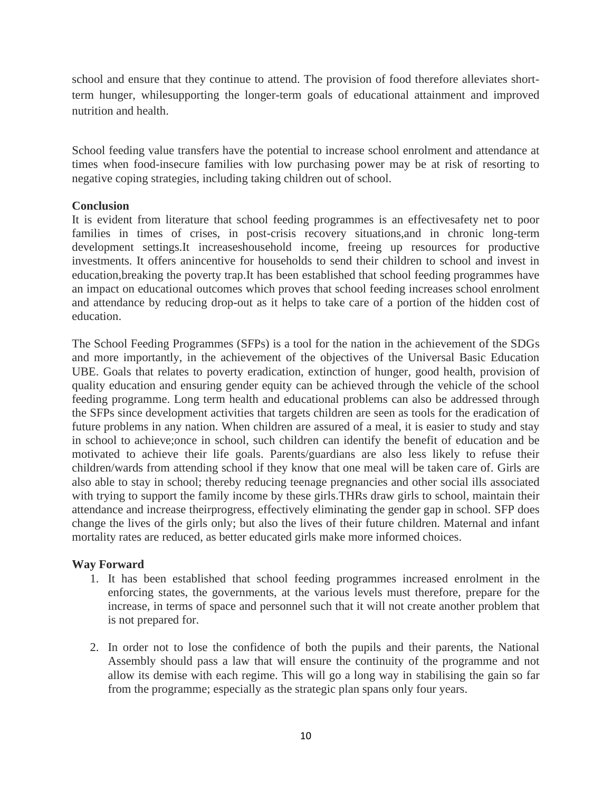school and ensure that they continue to attend. The provision of food therefore alleviates shortterm hunger, whilesupporting the longer-term goals of educational attainment and improved nutrition and health.

School feeding value transfers have the potential to increase school enrolment and attendance at times when food-insecure families with low purchasing power may be at risk of resorting to negative coping strategies, including taking children out of school.

## **Conclusion**

It is evident from literature that school feeding programmes is an effectivesafety net to poor families in times of crises, in post-crisis recovery situations,and in chronic long-term development settings.It increaseshousehold income, freeing up resources for productive investments. It offers anincentive for households to send their children to school and invest in education,breaking the poverty trap.It has been established that school feeding programmes have an impact on educational outcomes which proves that school feeding increases school enrolment and attendance by reducing drop-out as it helps to take care of a portion of the hidden cost of education.

The School Feeding Programmes (SFPs) is a tool for the nation in the achievement of the SDGs and more importantly, in the achievement of the objectives of the Universal Basic Education UBE. Goals that relates to poverty eradication, extinction of hunger, good health, provision of quality education and ensuring gender equity can be achieved through the vehicle of the school feeding programme. Long term health and educational problems can also be addressed through the SFPs since development activities that targets children are seen as tools for the eradication of future problems in any nation. When children are assured of a meal, it is easier to study and stay in school to achieve;once in school, such children can identify the benefit of education and be motivated to achieve their life goals. Parents/guardians are also less likely to refuse their children/wards from attending school if they know that one meal will be taken care of. Girls are also able to stay in school; thereby reducing teenage pregnancies and other social ills associated with trying to support the family income by these girls. THRs draw girls to school, maintain their attendance and increase theirprogress, effectively eliminating the gender gap in school. SFP does change the lives of the girls only; but also the lives of their future children. Maternal and infant mortality rates are reduced, as better educated girls make more informed choices.

### **Way Forward**

- 1. It has been established that school feeding programmes increased enrolment in the enforcing states, the governments, at the various levels must therefore, prepare for the increase, in terms of space and personnel such that it will not create another problem that is not prepared for.
- 2. In order not to lose the confidence of both the pupils and their parents, the National Assembly should pass a law that will ensure the continuity of the programme and not allow its demise with each regime. This will go a long way in stabilising the gain so far from the programme; especially as the strategic plan spans only four years.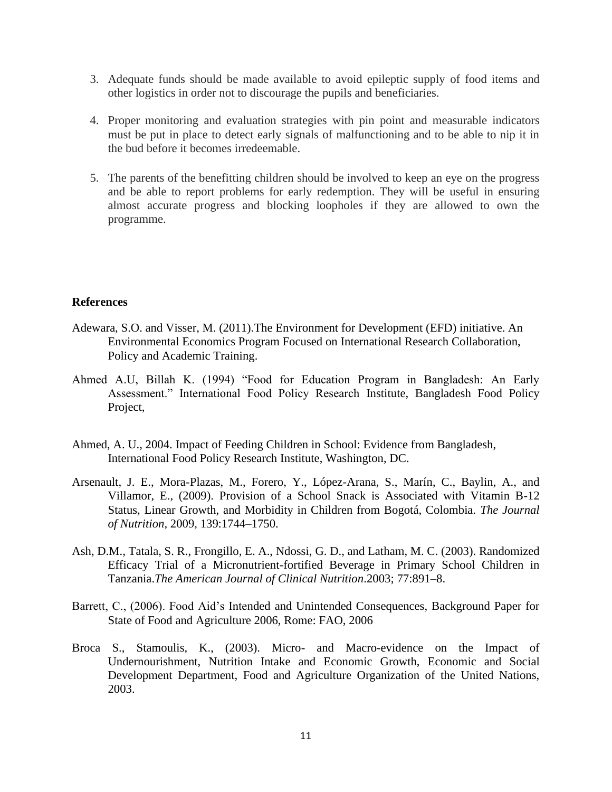- 3. Adequate funds should be made available to avoid epileptic supply of food items and other logistics in order not to discourage the pupils and beneficiaries.
- 4. Proper monitoring and evaluation strategies with pin point and measurable indicators must be put in place to detect early signals of malfunctioning and to be able to nip it in the bud before it becomes irredeemable.
- 5. The parents of the benefitting children should be involved to keep an eye on the progress and be able to report problems for early redemption. They will be useful in ensuring almost accurate progress and blocking loopholes if they are allowed to own the programme.

#### **References**

- Adewara, S.O. and Visser, M. (2011).The Environment for Development (EFD) initiative. An Environmental Economics Program Focused on International Research Collaboration, Policy and Academic Training.
- Ahmed A.U, Billah K. (1994) "Food for Education Program in Bangladesh: An Early Assessment." International Food Policy Research Institute, Bangladesh Food Policy Project,
- Ahmed, A. U., 2004. Impact of Feeding Children in School: Evidence from Bangladesh, International Food Policy Research Institute, Washington, DC.
- Arsenault, J. E., Mora-Plazas, M., Forero, Y., López-Arana, S., Marín, C., Baylin, A., and Villamor, E., (2009). Provision of a School Snack is Associated with Vitamin B-12 Status, Linear Growth, and Morbidity in Children from Bogotá, Colombia. *The Journal of Nutrition,* 2009, 139:1744–1750.
- Ash, D.M., Tatala, S. R., Frongillo, E. A., Ndossi, G. D., and Latham, M. C. (2003). Randomized Efficacy Trial of a Micronutrient-fortified Beverage in Primary School Children in Tanzania.*The American Journal of Clinical Nutrition*.2003; 77:891–8.
- Barrett, C., (2006). Food Aid's Intended and Unintended Consequences, Background Paper for State of Food and Agriculture 2006, Rome: FAO, 2006
- Broca S., Stamoulis, K., (2003). Micro- and Macro-evidence on the Impact of Undernourishment, Nutrition Intake and Economic Growth, Economic and Social Development Department, Food and Agriculture Organization of the United Nations, 2003.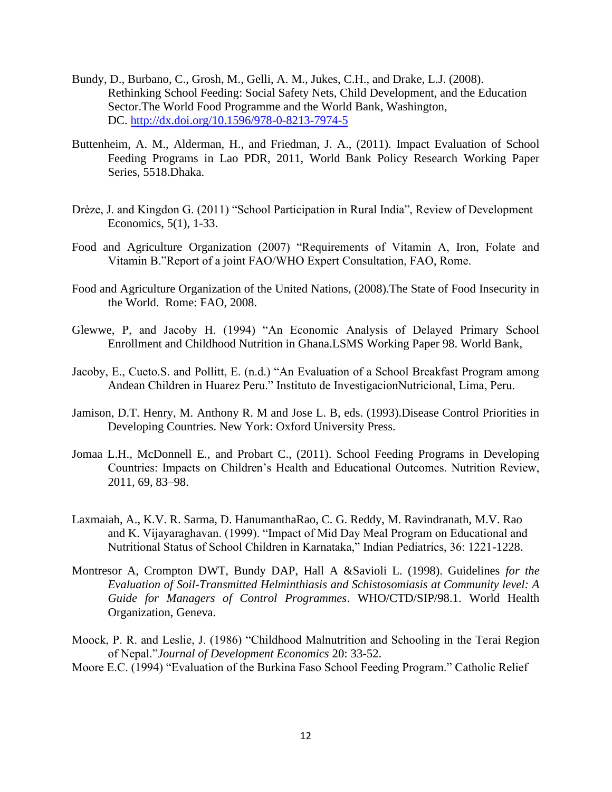- Bundy, D., Burbano, C., Grosh, M., Gelli, A. M., Jukes, C.H., and Drake, L.J. (2008). Rethinking School Feeding: Social Safety Nets, Child Development, and the Education Sector.The World Food Programme and the World Bank, Washington, DC. <http://dx.doi.org/10.1596/978-0-8213-7974-5>
- Buttenheim, A. M., Alderman, H., and Friedman, J. A., (2011). Impact Evaluation of School Feeding Programs in Lao PDR, 2011, World Bank Policy Research Working Paper Series, 5518.Dhaka.
- Drèze, J. and Kingdon G. (2011) "School Participation in Rural India", Review of Development Economics, 5(1), 1-33.
- Food and Agriculture Organization (2007) "Requirements of Vitamin A, Iron, Folate and Vitamin B."Report of a joint FAO/WHO Expert Consultation, FAO, Rome.
- Food and Agriculture Organization of the United Nations, (2008).The State of Food Insecurity in the World. Rome: FAO, 2008.
- Glewwe, P, and Jacoby H. (1994) "An Economic Analysis of Delayed Primary School Enrollment and Childhood Nutrition in Ghana.LSMS Working Paper 98. World Bank,
- Jacoby, E., Cueto.S. and Pollitt, E. (n.d.) "An Evaluation of a School Breakfast Program among Andean Children in Huarez Peru." Instituto de InvestigacionNutricional, Lima, Peru.
- Jamison, D.T. Henry, M. Anthony R. M and Jose L. B, eds. (1993).Disease Control Priorities in Developing Countries. New York: Oxford University Press.
- Jomaa L.H., McDonnell E., and Probart C., (2011). School Feeding Programs in Developing Countries: Impacts on Children's Health and Educational Outcomes. Nutrition Review, 2011, 69, 83–98.
- Laxmaiah, A., K.V. R. Sarma, D. HanumanthaRao, C. G. Reddy, M. Ravindranath, M.V. Rao and K. Vijayaraghavan. (1999). "Impact of Mid Day Meal Program on Educational and Nutritional Status of School Children in Karnataka," Indian Pediatrics, 36: 1221-1228.
- Montresor A, Crompton DWT, Bundy DAP, Hall A &Savioli L. (1998). Guidelines *for the Evaluation of Soil-Transmitted Helminthiasis and Schistosomiasis at Community level: A Guide for Managers of Control Programmes*. WHO/CTD/SIP/98.1. World Health Organization, Geneva.
- Moock, P. R. and Leslie, J. (1986) "Childhood Malnutrition and Schooling in the Terai Region of Nepal."*Journal of Development Economics* 20: 33-52.
- Moore E.C. (1994) "Evaluation of the Burkina Faso School Feeding Program." Catholic Relief